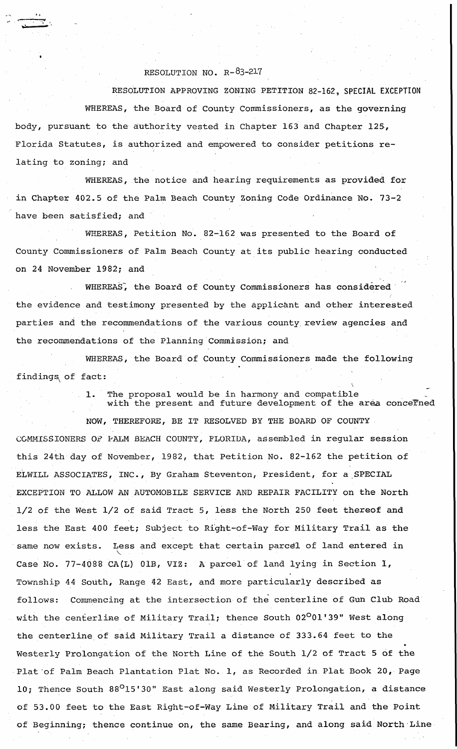## RESOLUTION NO. R-83-217

.<br>ب<del>ي حيات م</del>س

RESOLUTION APPROVING ZONING PETITION 82-162, SPECIAL EXCEPTION WHEREAS, the Board of County Commissioners, as the governing body, pursuant to the authority vested in Chapter 163 and Chapter 125, Florida Statutes, is authqrized and empowered to consider petitions relating to zoning; and

WHEREAS, the notice and hearing requirements as provided for in Chapter 402.5 of the Palm Beach County Zoning Code Ordinance No. 73-2 have been satisfied; and

WHEREAS, Petition No. 82-162 was presented to the Board of County Commissioners of Palm Beach County at its public hearing conducted on 24 November 1982; and

WHEREAS, the Board of County Commissioners has considered the evidence and testimony presented by the applicant and other interested parties and the recommendations of the various county review agencies and the recommendations of the Planning Commission; and

WHEREAS, the Board of County Commissioners made the following findings of fact:

> 1. The proposal would be in harmony and compatible with the present and future development of the area concerned

**NOW,** THEREFORE, BE IT RESOLVED BY THE BOARD OF COUNTY COMMISSIONERS OF PALM BEACH COUNTY, FLORIDA, assembled in regular **session**  this 24th day of November, 1982, that Petition No. 82-162 the petition of ELWILL ASSOCIATES, INC., By Graham Steventon, President, for a\_SPECIAL EXCEPTION TO ALLOW AN AUTOMOBILE SERVICE AND REPAIR FACILITY on the North 1/2 of the West 1/2 of said Tract 5, less the North 250 feet thereof and less the East 400 feet; Subject to Ri'ght-of-Way for Military Trail as the same now exists. Less and except that certain parcel of land entered in Case No. 77-4088 CA(L} OlB, VIZ: A parcel of land lying in Section 1, Township 44 South, Range 42 East, and more particularly described as follows: Commencing at the intersection of the centerline of Gun Club Road with the centerline of Military Trail; thence South 02<sup>0</sup>01'39" West along the centerline of said Military Trail a distance of 333.64 feet to the Westerly Prolongation of the North Line of the South 1/2 of Tract 5 of the Plat of Palm Beach Plantation Plat No. 1, as Recorded in Plat Book 20, Page 10; Thence South 88°15'30" East along said Westerly Prolongation, a distance of 53.00 feet to the East Right-of-Way Line of Military Trail and the Point of Beginning; thence continue on, the same Bearing, and along said North Line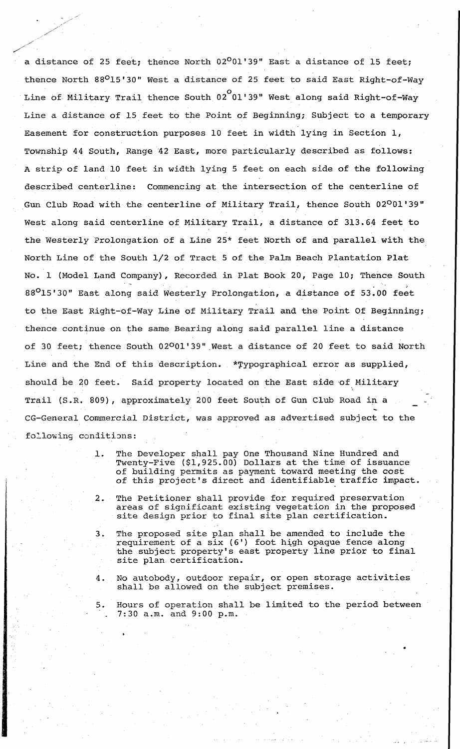a distance of 25 feet; thence North  $02^001'39''$  East a distance of 15 feet; thence North 88°15'30" West a distance of 25 feet to said East Right-of-Way Line of Military Trail thence South 02 $^\mathrm{O}$ 01'39" West along said Right-of-Way Line a distance of 15 feet to the Point of Beginning; Subject to a temporary Easement for construction purposes 10 feet in width lying in Section 1, Township 44 South, Range 42 East, more particularly described as follows: A strip of land 10 feet in width lying 5 feet on each side of the following described centerline: Commencing at the intersection of the centerline of Gun Club Road with the centerline of Military Trail, thence South 02001'39" West along said centerline of Military Trail, a distance of 313.64 feet to the Westerly Prolongation of a Line 25\* feet North of and parallel with the North Line of the South 1/2 of Tract 5 of the Palm Beach Plantation Plat No. 1 (Model Land Company), Recorded in Plat Book 20, Page 10; Thence South 88<sup>0</sup>15'30" East along said Westerly Prolongation, a distance of 53.00 feet to the East Right-of-Way Line of Military Trail and the Point Of Beginning; thence continue on the same Bearing along said parallel line a distance of 30 feet; thence South 02001'39" West a distance of 20 feet to said North Line and the End of this description. \*Typographical error as supplied, should be 20 feet. Said property located on the East side of Military Trail (S.R. 809), approximately 200 feet South of Gun Club Road in a CG-General Commercial District, was approved as advertised subject to the following conditions:

/ /

- 1. The Developer shall pay One Thousand Nine Hundred and Twenty-Five (\$1,925.00) Dollars at the time of issuance of building permits as payment toward meeting the cost of this project's direct and identifiable traffic impact.
- 2- The Petitioner shall provide for required preservation areas of significant existing vegetation in the proposed site design prior to final site plan certification.

3. The proposed site plan shall be amended to include the requirement of a six  $(6')$  foot high opaque fence along the subject property's east property line prior to final site plan certification.

4. No autobody, outdoor repair, or open storage activities shall be allowed on the subject premises.

5. Hours of operation shall be lim\_ited to the period between 7:30 a.m. and 9:00 p.m.

•